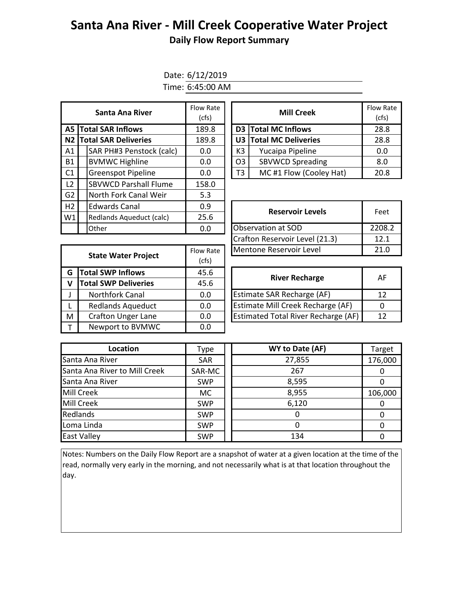## **Santa Ana River - Mill Creek Cooperative Water Project**

## **Daily Flow Report Summary**

Date: 6/12/2019 Time: 6:45:00 AM

| <b>Santa Ana River</b> |                                | Flow Rate<br>(cfs) |  | <b>Mill Creek</b> |                            | Flow Ra<br>(cfs) |
|------------------------|--------------------------------|--------------------|--|-------------------|----------------------------|------------------|
|                        | A5 Total SAR Inflows           | 189.8              |  |                   | D3 Total MC Inflows        | 28.8             |
|                        | <b>N2 Total SAR Deliveries</b> | 189.8              |  | U3                | <b>Total MC Deliveries</b> | 28.8             |
| A1                     | SAR PH#3 Penstock (calc)       | 0.0                |  | K3                | Yucaipa Pipeline           | 0.0              |
| <b>B1</b>              | <b>BVMWC Highline</b>          | 0.0                |  | O <sub>3</sub>    | <b>SBVWCD Spreading</b>    | 8.0              |
| C1                     | <b>Greenspot Pipeline</b>      | 0.0                |  | T <sub>3</sub>    | MC#1 Flow (Cooley Hat)     | 20.8             |
| L <sub>2</sub>         | <b>SBVWCD Parshall Flume</b>   | 158.0              |  |                   |                            |                  |
| G <sub>2</sub>         | North Fork Canal Weir          | 5.3                |  |                   |                            |                  |
| H2                     | <b>Edwards Canal</b>           | 0.9                |  |                   | <b>Reservoir Levels</b>    |                  |
| W1                     | Redlands Aqueduct (calc)       | 25.6               |  |                   |                            | Feet             |
|                        | <b>Other</b>                   | 0.0                |  |                   | Observation at SOD         | 2208.            |

| w Rate<br>(cfs) |    | <b>Mill Creek</b>       | <b>Flow Rate</b><br>(cfs) |
|-----------------|----|-------------------------|---------------------------|
| 89.8            |    | D3 Total MC Inflows     | 28.8                      |
| 89.8            |    | U3 Total MC Deliveries  | 28.8                      |
| 0.0             | K3 | Yucaipa Pipeline        | 0.0                       |
| 0.0             | O3 | <b>SBVWCD Spreading</b> | 8.0                       |
| 0.0             | T3 | MC#1 Flow (Cooley Hat)  | 20.8                      |

| <b>Edwards Canal</b>     | 0.9       | <b>Reservoir Levels</b>        | Feet   |  |
|--------------------------|-----------|--------------------------------|--------|--|
| Redlands Aqueduct (calc) | 25.6      |                                |        |  |
| Other                    | 0.0       | <b>Observation at SOD</b>      | 2208.2 |  |
|                          |           | Crafton Reservoir Level (21.3) | 12.1   |  |
| State Water Project      | Flow Rate | Mentone Reservoir Level        | 21.0   |  |
|                          |           |                                |        |  |

| <b>State Water Project</b> |                             | Flow Rate | Mentone Reservoir Level                    | 21.      |
|----------------------------|-----------------------------|-----------|--------------------------------------------|----------|
|                            |                             | (cfs)     |                                            |          |
| G                          | <b>Total SWP Inflows</b>    | 45.6      | <b>River Recharge</b>                      | AF       |
| v                          | <b>Total SWP Deliveries</b> | 45.6      |                                            |          |
|                            | Northfork Canal             | 0.0       | <b>Estimate SAR Recharge (AF)</b>          | 12       |
|                            | <b>Redlands Aqueduct</b>    | 0.0       | Estimate Mill Creek Recharge (AF)          | $\Omega$ |
| M                          | <b>Crafton Unger Lane</b>   | $0.0\,$   | <b>Estimated Total River Recharge (AF)</b> | 12       |
|                            | Newport to BVMWC            | 0.0       |                                            |          |

| <b>River Recharge</b>               | <b>AF</b> |
|-------------------------------------|-----------|
| Estimate SAR Recharge (AF)          | 12        |
| Estimate Mill Creek Recharge (AF)   |           |
| Estimated Total River Recharge (AF) | 12        |

| Location                      | Type       | WY to Date (AF) | Target   |
|-------------------------------|------------|-----------------|----------|
| Santa Ana River               | <b>SAR</b> | 27,855          | 176,000  |
| Santa Ana River to Mill Creek | SAR-MC     | 267             | $\Omega$ |
| Santa Ana River               | <b>SWP</b> | 8,595           |          |
| Mill Creek                    | <b>MC</b>  | 8,955           | 106,000  |
| Mill Creek                    | <b>SWP</b> | 6,120           | $\Omega$ |
| Redlands                      | <b>SWP</b> |                 |          |
| Loma Linda                    | <b>SWP</b> |                 |          |
| East Valley                   | <b>SWP</b> | 134             |          |

Notes: Numbers on the Daily Flow Report are a snapshot of water at a given location at the time of the read, normally very early in the morning, and not necessarily what is at that location throughout the day.